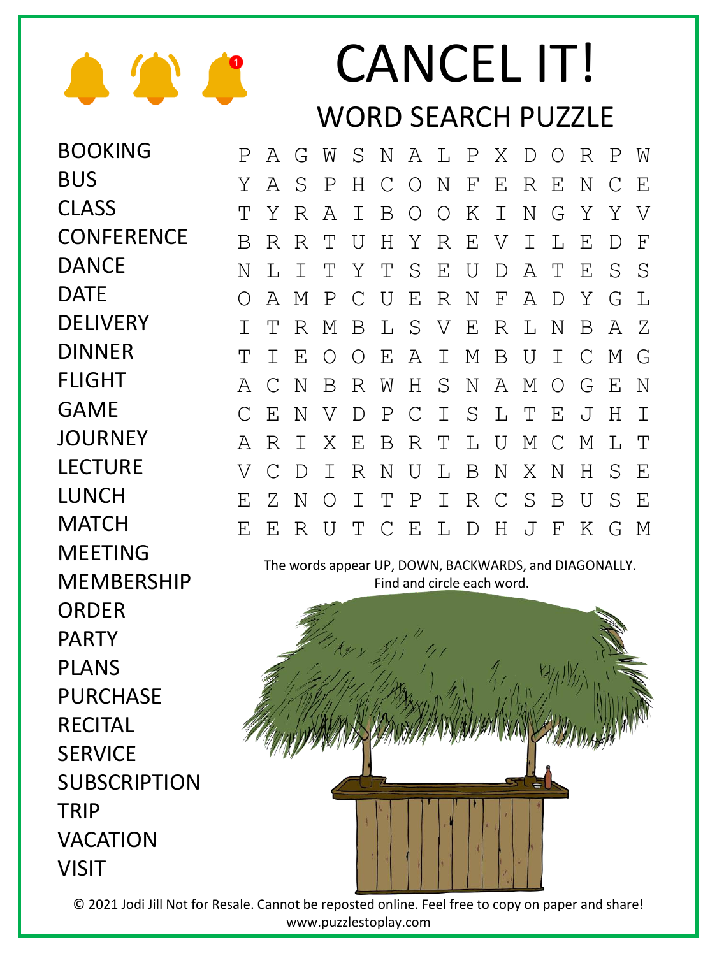

BUS

**CLASS** 

**DANCE** 

**DELIVERY** 

DINNER

FLIGHT

DATE

## CANCEL IT! WORD SEARCH PUZZLE

BOOKING **CONFERENCE** P A G W S N A L P X D O R P W Y A S P H C O N F E R E N C E T Y R A I B O O K I N G Y Y V B R R T U H Y R E V I L E D F N L I T Y T S E U D A T E S S O A M P C U E R N F A D Y G L I T R M B L S V E R L N B A Z T I E O O E A I M B U I C M G A C N B R W H S N A M O G E N C E N V D P C I S L T E J H I A R I X E B R T L U M C M L T V C D I R N U L B N X N H S E E Z N O I T P I R C S B U S E E E R U T C E L D H J F K G M

> The words appear UP, DOWN, BACKWARDS, and DIAGONALLY. Find and circle each word.



© 2021 Jodi Jill Not for Resale. Cannot be reposted online. Feel free to copy on paper and share! www.puzzlestoplay.com

GAME **JOURNEY** LECTURE LUNCH **MATCH** MEETING **MFMBFRSHIP** ORDER PARTY PLANS PURCHASE RECITAL **SERVICE** SUBSCRIPTION **TRIP** VACATION VISIT